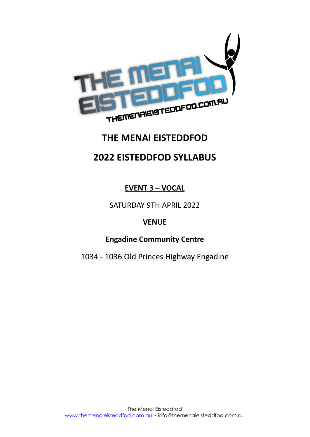

# **THE MENAI EISTEDDFOD**

# **2022 EISTEDDFOD SYLLABUS**

**EVENT 3 – VOCAL**

SATURDAY 9TH APRIL 2022

# **VENUE**

**Engadine Community Centre**

1034 - 1036 Old Princes Highway Engadine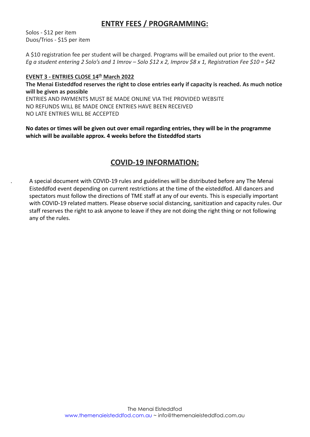# **ENTRY FEES / PROGRAMMING:**

Solos - \$12 per item Duos/Trios - \$15 per item

A \$10 registration fee per student will be charged. Programs will be emailed out prior to the event. *Eg a student entering 2 Solo's and 1 Imrov – Solo \$12 x 2, Improv \$8 x 1, Registration Fee \$10 = \$42*

# **EVENT 3 - ENTRIES CLOSE 14th March 2022**

**The Menai Eisteddfod reserves the right to close entries early if capacity is reached. As much notice will be given as possible** ENTRIES AND PAYMENTS MUST BE MADE ONLINE VIA THE PROVIDED WEBSITE NO REFUNDS WILL BE MADE ONCE ENTRIES HAVE BEEN RECEIVED

NO LATE ENTRIES WILL BE ACCEPTED

**No dates or times will be given out over email regarding entries, they will be in the programme which will be available approx. 4 weeks before the Eisteddfod starts**

# **COVID-19 INFORMATION:**

. A special document with COVID-19 rules and guidelines will be distributed before any The Menai Eisteddfod event depending on current restrictions at the time of the eisteddfod. All dancers and spectators must follow the directions of TME staff at any of our events. This is especially important with COVID-19 related matters. Please observe social distancing, sanitization and capacity rules. Our staff reserves the right to ask anyone to leave if they are not doing the right thing or not following any of the rules.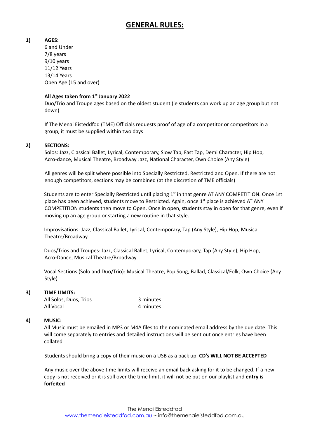# **GENERAL RULES:**

### **1) AGES:**

6 and Under 7/8 years 9/10 years 11/12 Years 13/14 Years Open Age (15 and over)

## **All Ages taken from 1 st January 2022**

Duo/Trio and Troupe ages based on the oldest student (ie students can work up an age group but not down)

If The Menai Eisteddfod (TME) Officials requests proof of age of a competitor or competitors in a group, it must be supplied within two days

### **2) SECTIONS:**

Solos: Jazz, Classical Ballet, Lyrical, Contemporary, Slow Tap, Fast Tap, Demi Character, Hip Hop, Acro-dance, Musical Theatre, Broadway Jazz, National Character, Own Choice (Any Style)

All genres will be split where possible into Specially Restricted, Restricted and Open. If there are not enough competitors, sections may be combined (at the discretion of TME officials)

Students are to enter Specially Restricted until placing  $1<sup>st</sup>$  in that genre AT ANY COMPETITION. Once 1st place has been achieved, students move to Restricted. Again, once 1<sup>st</sup> place is achieved AT ANY COMPETITION students then move to Open. Once in open, students stay in open for that genre, even if moving up an age group or starting a new routine in that style.

Improvisations: Jazz, Classical Ballet, Lyrical, Contemporary, Tap (Any Style), Hip Hop, Musical Theatre/Broadway

Duos/Trios and Troupes: Jazz, Classical Ballet, Lyrical, Contemporary, Tap (Any Style), Hip Hop, Acro-Dance, Musical Theatre/Broadway

Vocal Sections (Solo and Duo/Trio): Musical Theatre, Pop Song, Ballad, Classical/Folk, Own Choice (Any Style)

#### **3) TIME LIMITS:**

All Solos, Duos, Trios 3 minutes All Vocal 4 minutes

## **4) MUSIC:**

All Music must be emailed in MP3 or M4A files to the nominated email address by the due date. This will come separately to entries and detailed instructions will be sent out once entries have been collated

Students should bring a copy of their music on a USB as a back up. **CD's WILL NOT BE ACCEPTED**

Any music over the above time limits will receive an email back asking for it to be changed. If a new copy is not received or it is still over the time limit, it will not be put on our playlist and **entry is forfeited**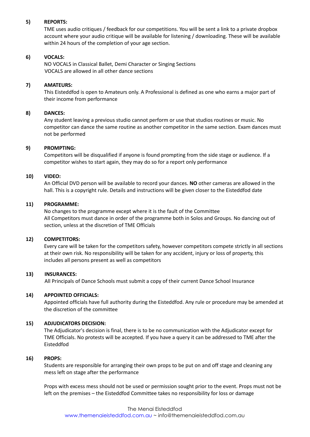#### **5) REPORTS:**

TME uses audio critiques / feedback for our competitions. You will be sent a link to a private dropbox account where your audio critique will be available for listening / downloading. These will be available within 24 hours of the completion of your age section.

### **6) VOCALS:**

NO VOCALS in Classical Ballet, Demi Character or Singing Sections VOCALS are allowed in all other dance sections

### **7) AMATEURS:**

This Eisteddfod is open to Amateurs only. A Professional is defined as one who earns a major part of their income from performance

### **8) DANCES:**

Any student leaving a previous studio cannot perform or use that studios routines or music. No competitor can dance the same routine as another competitor in the same section. Exam dances must not be performed

### **9) PROMPTING:**

Competitors will be disqualified if anyone is found prompting from the side stage or audience. If a competitor wishes to start again, they may do so for a report only performance

### **10) VIDEO:**

An Official DVD person will be available to record your dances. **NO** other cameras are allowed in the hall. This is a copyright rule. Details and instructions will be given closer to the Eisteddfod date

### **11) PROGRAMME:**

No changes to the programme except where it is the fault of the Committee All Competitors must dance in order of the programme both in Solos and Groups. No dancing out of section, unless at the discretion of TME Officials

#### **12) COMPETITORS:**

Every care will be taken for the competitors safety, however competitors compete strictly in all sections at their own risk. No responsibility will be taken for any accident, injury or loss of property, this includes all persons present as well as competitors

#### **13) INSURANCES:**

All Principals of Dance Schools must submit a copy of their current Dance School Insurance

## **14) APPOINTED OFFICIALS:**

Appointed officials have full authority during the Eisteddfod. Any rule or procedure may be amended at the discretion of the committee

## **15) ADJUDICATORS DECISION:**

The Adjudicator's decision is final, there is to be no communication with the Adjudicator except for TME Officials. No protests will be accepted. If you have a query it can be addressed to TME after the Eisteddfod

#### **16) PROPS:**

Students are responsible for arranging their own props to be put on and off stage and cleaning any mess left on stage after the performance

Props with excess mess should not be used or permission sought prior to the event. Props must not be left on the premises – the Eisteddfod Committee takes no responsibility for loss or damage